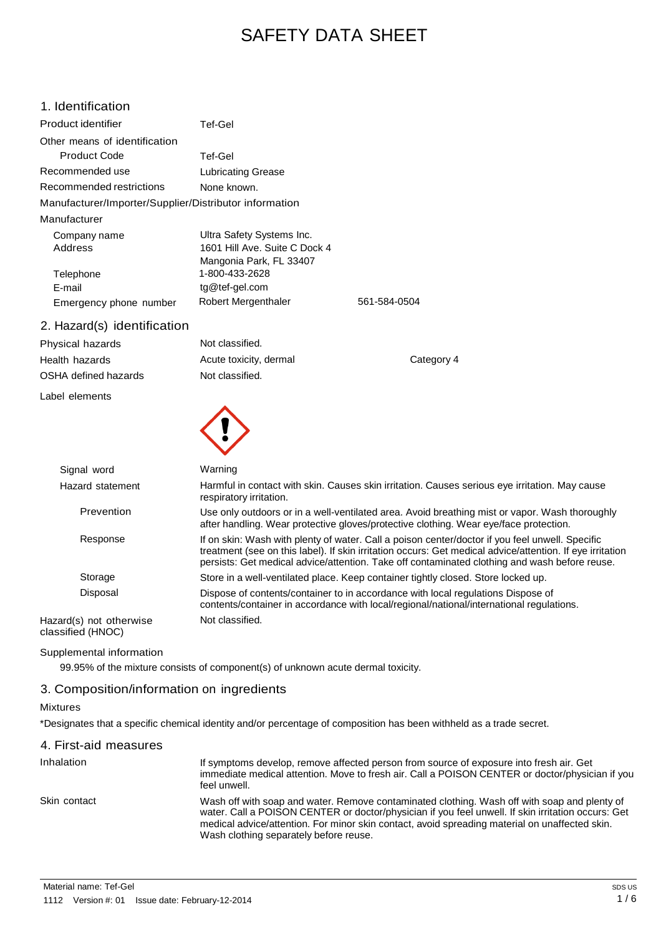# SAFETY DATA SHEET

| 1. Identification                                      |                                                                                                                                                                                                                                                                                                               |              |
|--------------------------------------------------------|---------------------------------------------------------------------------------------------------------------------------------------------------------------------------------------------------------------------------------------------------------------------------------------------------------------|--------------|
| Product identifier                                     | Tef-Gel                                                                                                                                                                                                                                                                                                       |              |
| Other means of identification                          |                                                                                                                                                                                                                                                                                                               |              |
| <b>Product Code</b>                                    | Tef-Gel                                                                                                                                                                                                                                                                                                       |              |
| Recommended use                                        | <b>Lubricating Grease</b>                                                                                                                                                                                                                                                                                     |              |
| Recommended restrictions                               | None known.                                                                                                                                                                                                                                                                                                   |              |
| Manufacturer/Importer/Supplier/Distributor information |                                                                                                                                                                                                                                                                                                               |              |
| Manufacturer                                           |                                                                                                                                                                                                                                                                                                               |              |
| Company name<br>Address<br>Telephone                   | Ultra Safety Systems Inc.<br>1601 Hill Ave. Suite C Dock 4<br>Mangonia Park, FL 33407<br>1-800-433-2628                                                                                                                                                                                                       |              |
| E-mail                                                 | tg@tef-gel.com                                                                                                                                                                                                                                                                                                |              |
| Emergency phone number                                 | Robert Mergenthaler                                                                                                                                                                                                                                                                                           | 561-584-0504 |
| 2. Hazard(s) identification                            |                                                                                                                                                                                                                                                                                                               |              |
| Physical hazards                                       | Not classified.                                                                                                                                                                                                                                                                                               |              |
| Health hazards                                         | Acute toxicity, dermal                                                                                                                                                                                                                                                                                        | Category 4   |
| OSHA defined hazards                                   | Not classified.                                                                                                                                                                                                                                                                                               |              |
| Label elements                                         |                                                                                                                                                                                                                                                                                                               |              |
|                                                        |                                                                                                                                                                                                                                                                                                               |              |
| Signal word                                            | Warning                                                                                                                                                                                                                                                                                                       |              |
| Hazard statement                                       | Harmful in contact with skin. Causes skin irritation. Causes serious eye irritation. May cause<br>respiratory irritation.                                                                                                                                                                                     |              |
| Prevention                                             | Use only outdoors or in a well-ventilated area. Avoid breathing mist or vapor. Wash thoroughly<br>after handling. Wear protective gloves/protective clothing. Wear eye/face protection.                                                                                                                       |              |
| Response                                               | If on skin: Wash with plenty of water. Call a poison center/doctor if you feel unwell. Specific<br>treatment (see on this label). If skin irritation occurs: Get medical advice/attention. If eye irritation<br>persists: Get medical advice/attention. Take off contaminated clothing and wash before reuse. |              |
| Storage                                                | Store in a well-ventilated place. Keep container tightly closed. Store locked up.                                                                                                                                                                                                                             |              |
| Disposal                                               | Dispose of contents/container to in accordance with local regulations Dispose of<br>contents/container in accordance with local/regional/national/international regulations.                                                                                                                                  |              |

Hazard(s) not otherwise classified (HNOC)

#### Supplemental information

99.95% of the mixture consists of component(s) of unknown acute dermal toxicity.

Not classified.

#### 3. Composition/information on ingredients

## Mixtures

\*Designates that a specific chemical identity and/or percentage of composition has been withheld as a trade secret.

| 4. First-aid measures |                                                                                                                                                                                                                                                                                                                                                |
|-----------------------|------------------------------------------------------------------------------------------------------------------------------------------------------------------------------------------------------------------------------------------------------------------------------------------------------------------------------------------------|
| Inhalation            | If symptoms develop, remove affected person from source of exposure into fresh air. Get<br>immediate medical attention. Move to fresh air. Call a POISON CENTER or doctor/physician if you<br>feel unwell.                                                                                                                                     |
| Skin contact          | Wash off with soap and water. Remove contaminated clothing. Wash off with soap and plenty of<br>water. Call a POISON CENTER or doctor/physician if you feel unwell. If skin irritation occurs: Get<br>medical advice/attention. For minor skin contact, avoid spreading material on unaffected skin.<br>Wash clothing separately before reuse. |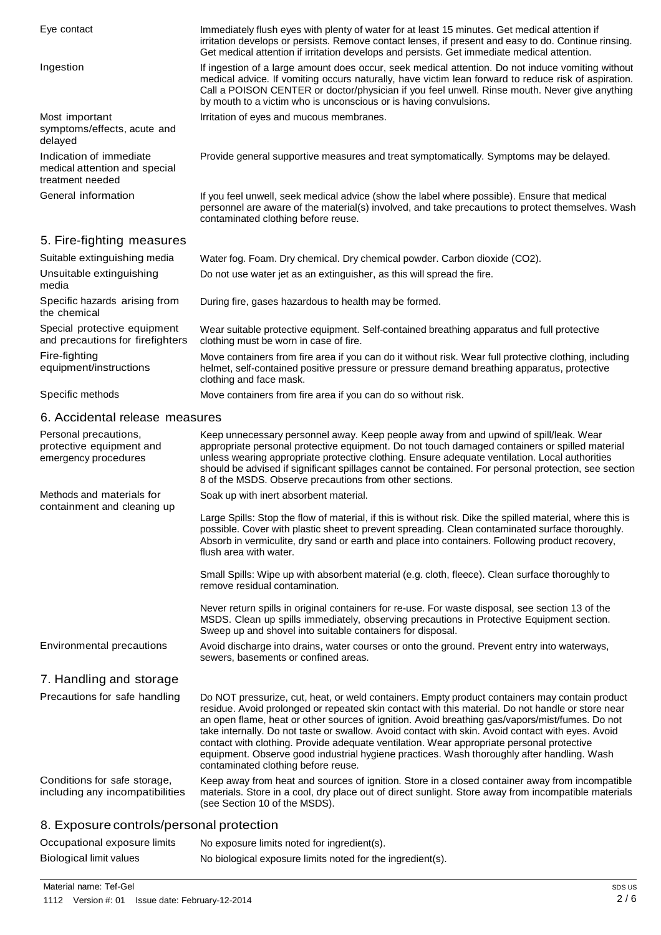| Eye contact                                                                  | Immediately flush eyes with plenty of water for at least 15 minutes. Get medical attention if<br>irritation develops or persists. Remove contact lenses, if present and easy to do. Continue rinsing.<br>Get medical attention if irritation develops and persists. Get immediate medical attention.                                                                                                                                                                                                                                                                                                                                          |
|------------------------------------------------------------------------------|-----------------------------------------------------------------------------------------------------------------------------------------------------------------------------------------------------------------------------------------------------------------------------------------------------------------------------------------------------------------------------------------------------------------------------------------------------------------------------------------------------------------------------------------------------------------------------------------------------------------------------------------------|
| Ingestion                                                                    | If ingestion of a large amount does occur, seek medical attention. Do not induce vomiting without<br>medical advice. If vomiting occurs naturally, have victim lean forward to reduce risk of aspiration.<br>Call a POISON CENTER or doctor/physician if you feel unwell. Rinse mouth. Never give anything<br>by mouth to a victim who is unconscious or is having convulsions.                                                                                                                                                                                                                                                               |
| Most important<br>symptoms/effects, acute and<br>delayed                     | Irritation of eyes and mucous membranes.                                                                                                                                                                                                                                                                                                                                                                                                                                                                                                                                                                                                      |
| Indication of immediate<br>medical attention and special<br>treatment needed | Provide general supportive measures and treat symptomatically. Symptoms may be delayed.                                                                                                                                                                                                                                                                                                                                                                                                                                                                                                                                                       |
| General information                                                          | If you feel unwell, seek medical advice (show the label where possible). Ensure that medical<br>personnel are aware of the material(s) involved, and take precautions to protect themselves. Wash<br>contaminated clothing before reuse.                                                                                                                                                                                                                                                                                                                                                                                                      |
| 5. Fire-fighting measures                                                    |                                                                                                                                                                                                                                                                                                                                                                                                                                                                                                                                                                                                                                               |
| Suitable extinguishing media                                                 | Water fog. Foam. Dry chemical. Dry chemical powder. Carbon dioxide (CO2).                                                                                                                                                                                                                                                                                                                                                                                                                                                                                                                                                                     |
| Unsuitable extinguishing<br>media                                            | Do not use water jet as an extinguisher, as this will spread the fire.                                                                                                                                                                                                                                                                                                                                                                                                                                                                                                                                                                        |
| Specific hazards arising from<br>the chemical                                | During fire, gases hazardous to health may be formed.                                                                                                                                                                                                                                                                                                                                                                                                                                                                                                                                                                                         |
| Special protective equipment<br>and precautions for firefighters             | Wear suitable protective equipment. Self-contained breathing apparatus and full protective<br>clothing must be worn in case of fire.                                                                                                                                                                                                                                                                                                                                                                                                                                                                                                          |
| Fire-fighting<br>equipment/instructions                                      | Move containers from fire area if you can do it without risk. Wear full protective clothing, including<br>helmet, self-contained positive pressure or pressure demand breathing apparatus, protective<br>clothing and face mask.                                                                                                                                                                                                                                                                                                                                                                                                              |
| Specific methods                                                             | Move containers from fire area if you can do so without risk.                                                                                                                                                                                                                                                                                                                                                                                                                                                                                                                                                                                 |
| 6. Accidental release measures                                               |                                                                                                                                                                                                                                                                                                                                                                                                                                                                                                                                                                                                                                               |
| Personal precautions,<br>protective equipment and<br>emergency procedures    | Keep unnecessary personnel away. Keep people away from and upwind of spill/leak. Wear<br>appropriate personal protective equipment. Do not touch damaged containers or spilled material<br>unless wearing appropriate protective clothing. Ensure adequate ventilation. Local authorities<br>should be advised if significant spillages cannot be contained. For personal protection, see section<br>8 of the MSDS. Observe precautions from other sections.                                                                                                                                                                                  |
| Methods and materials for                                                    | Soak up with inert absorbent material.                                                                                                                                                                                                                                                                                                                                                                                                                                                                                                                                                                                                        |
| containment and cleaning up                                                  | Large Spills: Stop the flow of material, if this is without risk. Dike the spilled material, where this is<br>possible. Cover with plastic sheet to prevent spreading. Clean contaminated surface thoroughly.<br>Absorb in vermiculite, dry sand or earth and place into containers. Following product recovery,<br>flush area with water.                                                                                                                                                                                                                                                                                                    |
|                                                                              | Small Spills: Wipe up with absorbent material (e.g. cloth, fleece). Clean surface thoroughly to<br>remove residual contamination.                                                                                                                                                                                                                                                                                                                                                                                                                                                                                                             |
|                                                                              | Never return spills in original containers for re-use. For waste disposal, see section 13 of the<br>MSDS. Clean up spills immediately, observing precautions in Protective Equipment section.<br>Sweep up and shovel into suitable containers for disposal.                                                                                                                                                                                                                                                                                                                                                                                   |
| Environmental precautions                                                    | Avoid discharge into drains, water courses or onto the ground. Prevent entry into waterways,<br>sewers, basements or confined areas.                                                                                                                                                                                                                                                                                                                                                                                                                                                                                                          |
| 7. Handling and storage                                                      |                                                                                                                                                                                                                                                                                                                                                                                                                                                                                                                                                                                                                                               |
| Precautions for safe handling                                                | Do NOT pressurize, cut, heat, or weld containers. Empty product containers may contain product<br>residue. Avoid prolonged or repeated skin contact with this material. Do not handle or store near<br>an open flame, heat or other sources of ignition. Avoid breathing gas/vapors/mist/fumes. Do not<br>take internally. Do not taste or swallow. Avoid contact with skin. Avoid contact with eyes. Avoid<br>contact with clothing. Provide adequate ventilation. Wear appropriate personal protective<br>equipment. Observe good industrial hygiene practices. Wash thoroughly after handling. Wash<br>contaminated clothing before reuse. |
| Conditions for safe storage,<br>including any incompatibilities              | Keep away from heat and sources of ignition. Store in a closed container away from incompatible<br>materials. Store in a cool, dry place out of direct sunlight. Store away from incompatible materials<br>(see Section 10 of the MSDS).                                                                                                                                                                                                                                                                                                                                                                                                      |
| 8. Exposure controls/personal protection                                     |                                                                                                                                                                                                                                                                                                                                                                                                                                                                                                                                                                                                                                               |
| Occupational exposure limits                                                 | No exposure limits noted for ingredient(s).                                                                                                                                                                                                                                                                                                                                                                                                                                                                                                                                                                                                   |

Biological limit values No biological exposure limits noted for the ingredient(s).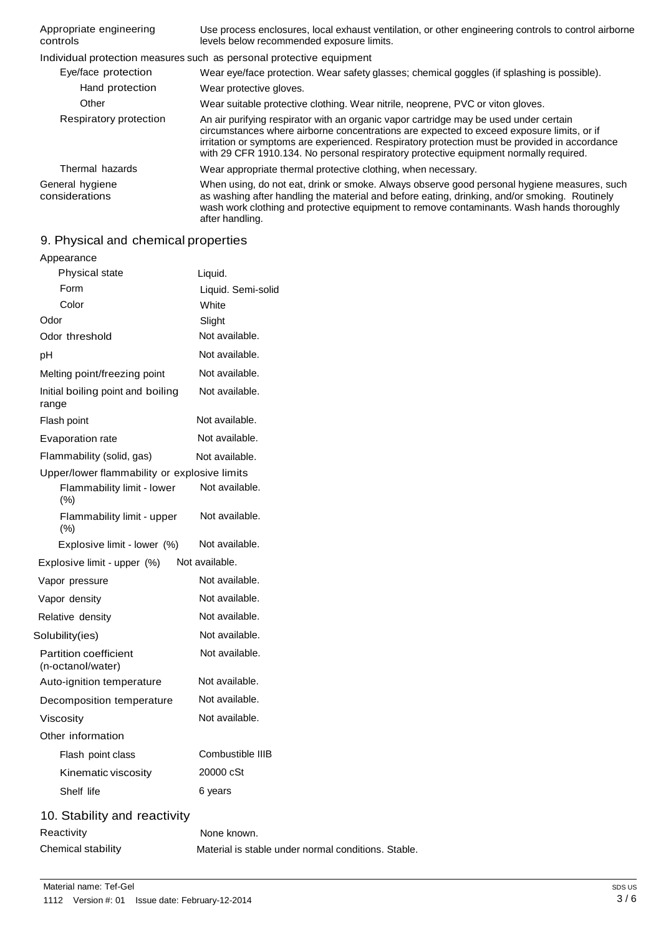| Appropriate engineering<br>controls | Use process enclosures, local exhaust ventilation, or other engineering controls to control airborne<br>levels below recommended exposure limits.                                                                                                                                                                                                                            |
|-------------------------------------|------------------------------------------------------------------------------------------------------------------------------------------------------------------------------------------------------------------------------------------------------------------------------------------------------------------------------------------------------------------------------|
|                                     | Individual protection measures such as personal protective equipment                                                                                                                                                                                                                                                                                                         |
| Eye/face protection                 | Wear eye/face protection. Wear safety glasses; chemical goggles (if splashing is possible).                                                                                                                                                                                                                                                                                  |
| Hand protection                     | Wear protective gloves.                                                                                                                                                                                                                                                                                                                                                      |
| Other                               | Wear suitable protective clothing. Wear nitrile, neoprene, PVC or viton gloves.                                                                                                                                                                                                                                                                                              |
| Respiratory protection              | An air purifying respirator with an organic vapor cartridge may be used under certain<br>circumstances where airborne concentrations are expected to exceed exposure limits, or if<br>irritation or symptoms are experienced. Respiratory protection must be provided in accordance<br>with 29 CFR 1910.134. No personal respiratory protective equipment normally required. |
| Thermal hazards                     | Wear appropriate thermal protective clothing, when necessary.                                                                                                                                                                                                                                                                                                                |
| General hygiene<br>considerations   | When using, do not eat, drink or smoke. Always observe good personal hygiene measures, such<br>as washing after handling the material and before eating, drinking, and/or smoking. Routinely<br>wash work clothing and protective equipment to remove contaminants. Wash hands thoroughly<br>after handling.                                                                 |

# 9. Physical and chemical properties

| Appearance                                   |                                                     |
|----------------------------------------------|-----------------------------------------------------|
| Physical state                               | Liquid.                                             |
| Form                                         | Liquid. Semi-solid                                  |
| Color                                        | White                                               |
| Odor                                         | Slight                                              |
| Odor threshold                               | Not available.                                      |
| pH                                           | Not available.                                      |
| Melting point/freezing point                 | Not available.                                      |
| Initial boiling point and boiling<br>range   | Not available.                                      |
| Flash point                                  | Not available.                                      |
| Evaporation rate                             | Not available.                                      |
| Flammability (solid, gas)                    | Not available.                                      |
| Upper/lower flammability or explosive limits |                                                     |
| Flammability limit - lower<br>(% )           | Not available.                                      |
| Flammability limit - upper<br>(% )           | Not available.                                      |
| Explosive limit - lower (%)                  | Not available.                                      |
| Explosive limit - upper (%)                  | Not available.                                      |
| Vapor pressure                               | Not available.                                      |
| Vapor density                                | Not available.                                      |
| Relative density                             | Not available.                                      |
| Solubility(ies)                              | Not available.                                      |
| Partition coefficient<br>(n-octanol/water)   | Not available.                                      |
| Auto-ignition temperature                    | Not available.                                      |
| Decomposition temperature                    | Not available.                                      |
| Viscosity                                    | Not available.                                      |
| Other information                            |                                                     |
| Flash point class                            | Combustible IIIB                                    |
| Kinematic viscosity                          | 20000 cSt                                           |
| Shelf life                                   | 6 years                                             |
| 10. Stability and reactivity                 |                                                     |
| Reactivity                                   | None known.                                         |
| Chemical stability                           | Material is stable under normal conditions. Stable. |
|                                              |                                                     |
|                                              |                                                     |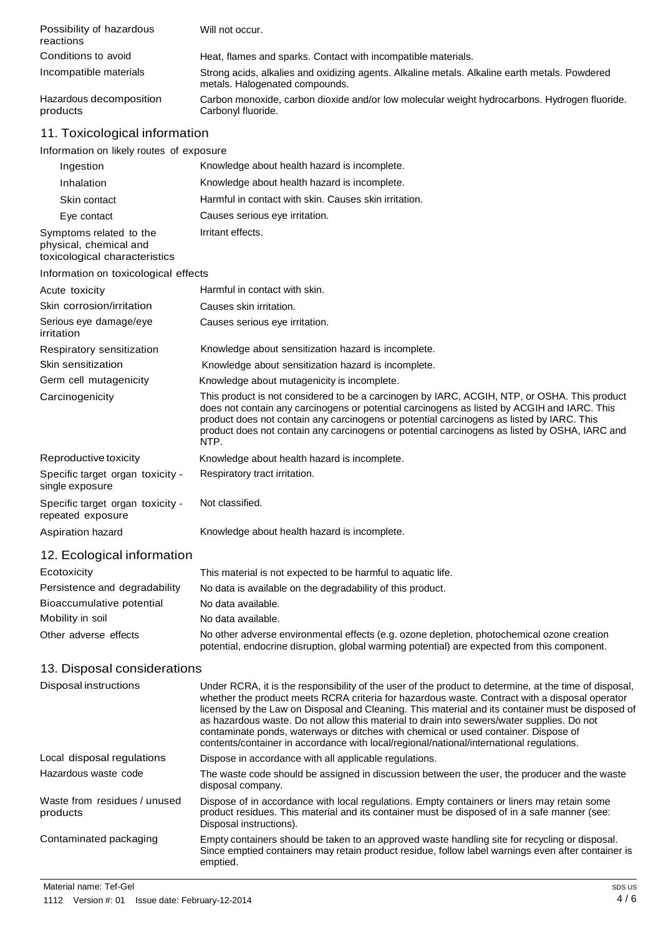| Possibility of hazardous<br>reactions                   | Will not occur.                                                                                                                                                                                                                                                                                                                                                                                                                                                                      |
|---------------------------------------------------------|--------------------------------------------------------------------------------------------------------------------------------------------------------------------------------------------------------------------------------------------------------------------------------------------------------------------------------------------------------------------------------------------------------------------------------------------------------------------------------------|
| Conditions to avoid                                     | Heat, flames and sparks. Contact with incompatible materials.                                                                                                                                                                                                                                                                                                                                                                                                                        |
| Incompatible materials                                  | Strong acids, alkalies and oxidizing agents. Alkaline metals. Alkaline earth metals. Powdered<br>metals. Halogenated compounds.                                                                                                                                                                                                                                                                                                                                                      |
| Hazardous decomposition<br>products                     | Carbon monoxide, carbon dioxide and/or low molecular weight hydrocarbons. Hydrogen fluoride.<br>Carbonyl fluoride.                                                                                                                                                                                                                                                                                                                                                                   |
| 11. Toxicological information                           |                                                                                                                                                                                                                                                                                                                                                                                                                                                                                      |
| Information on likely routes of exposure                |                                                                                                                                                                                                                                                                                                                                                                                                                                                                                      |
| Ingestion                                               | Knowledge about health hazard is incomplete.                                                                                                                                                                                                                                                                                                                                                                                                                                         |
| Inhalation                                              | Knowledge about health hazard is incomplete.                                                                                                                                                                                                                                                                                                                                                                                                                                         |
| Skin contact                                            | Harmful in contact with skin. Causes skin irritation.                                                                                                                                                                                                                                                                                                                                                                                                                                |
| Eye contact                                             | Causes serious eye irritation.                                                                                                                                                                                                                                                                                                                                                                                                                                                       |
| Symptoms related to the                                 | Irritant effects.                                                                                                                                                                                                                                                                                                                                                                                                                                                                    |
| physical, chemical and<br>toxicological characteristics |                                                                                                                                                                                                                                                                                                                                                                                                                                                                                      |
| Information on toxicological effects                    |                                                                                                                                                                                                                                                                                                                                                                                                                                                                                      |
| Acute toxicity                                          | Harmful in contact with skin.                                                                                                                                                                                                                                                                                                                                                                                                                                                        |
| Skin corrosion/irritation                               | Causes skin irritation.                                                                                                                                                                                                                                                                                                                                                                                                                                                              |
| Serious eye damage/eye<br>irritation                    | Causes serious eye irritation.                                                                                                                                                                                                                                                                                                                                                                                                                                                       |
| Respiratory sensitization                               | Knowledge about sensitization hazard is incomplete.                                                                                                                                                                                                                                                                                                                                                                                                                                  |
| Skin sensitization                                      | Knowledge about sensitization hazard is incomplete.                                                                                                                                                                                                                                                                                                                                                                                                                                  |
| Germ cell mutagenicity                                  | Knowledge about mutagenicity is incomplete.                                                                                                                                                                                                                                                                                                                                                                                                                                          |
| Carcinogenicity                                         | This product is not considered to be a carcinogen by IARC, ACGIH, NTP, or OSHA. This product<br>does not contain any carcinogens or potential carcinogens as listed by ACGIH and IARC. This<br>product does not contain any carcinogens or potential carcinogens as listed by IARC. This<br>product does not contain any carcinogens or potential carcinogens as listed by OSHA, IARC and<br>NTP.                                                                                    |
| Reproductive toxicity                                   | Knowledge about health hazard is incomplete.                                                                                                                                                                                                                                                                                                                                                                                                                                         |
| Specific target organ toxicity -<br>single exposure     | Respiratory tract irritation.                                                                                                                                                                                                                                                                                                                                                                                                                                                        |
| Specific target organ toxicity -<br>repeated exposure   | Not classified.                                                                                                                                                                                                                                                                                                                                                                                                                                                                      |
| Aspiration hazard                                       | Knowledge about health hazard is incomplete.                                                                                                                                                                                                                                                                                                                                                                                                                                         |
| 12. Ecological information                              |                                                                                                                                                                                                                                                                                                                                                                                                                                                                                      |
| Ecotoxicity                                             | This material is not expected to be harmful to aquatic life.                                                                                                                                                                                                                                                                                                                                                                                                                         |
| Persistence and degradability                           | No data is available on the degradability of this product.                                                                                                                                                                                                                                                                                                                                                                                                                           |
| Bioaccumulative potential                               | No data available.                                                                                                                                                                                                                                                                                                                                                                                                                                                                   |
| Mobility in soil                                        | No data available.                                                                                                                                                                                                                                                                                                                                                                                                                                                                   |
| Other adverse effects                                   | No other adverse environmental effects (e.g. ozone depletion, photochemical ozone creation<br>potential, endocrine disruption, global warming potential) are expected from this component.                                                                                                                                                                                                                                                                                           |
| 13. Disposal considerations                             |                                                                                                                                                                                                                                                                                                                                                                                                                                                                                      |
| Disposal instructions                                   | Under RCRA, it is the responsibility of the user of the product to determine, at the time of disposal,                                                                                                                                                                                                                                                                                                                                                                               |
|                                                         | whether the product meets RCRA criteria for hazardous waste. Contract with a disposal operator<br>licensed by the Law on Disposal and Cleaning. This material and its container must be disposed of<br>as hazardous waste. Do not allow this material to drain into sewers/water supplies. Do not<br>contaminate ponds, waterways or ditches with chemical or used container. Dispose of<br>contents/container in accordance with local/regional/national/international regulations. |
| Local disposal regulations                              | Dispose in accordance with all applicable regulations.                                                                                                                                                                                                                                                                                                                                                                                                                               |
| Hazardous waste code                                    | The waste code should be assigned in discussion between the user, the producer and the waste<br>disposal company.                                                                                                                                                                                                                                                                                                                                                                    |
| Waste from residues / unused<br>products                | Dispose of in accordance with local regulations. Empty containers or liners may retain some<br>product residues. This material and its container must be disposed of in a safe manner (see:<br>Disposal instructions).                                                                                                                                                                                                                                                               |
|                                                         |                                                                                                                                                                                                                                                                                                                                                                                                                                                                                      |

Contaminated packaging Empty containers should be taken to an approved waste handling site for recycling or disposal. Since emptied containers may retain product residue, follow label warnings even after container is emptied.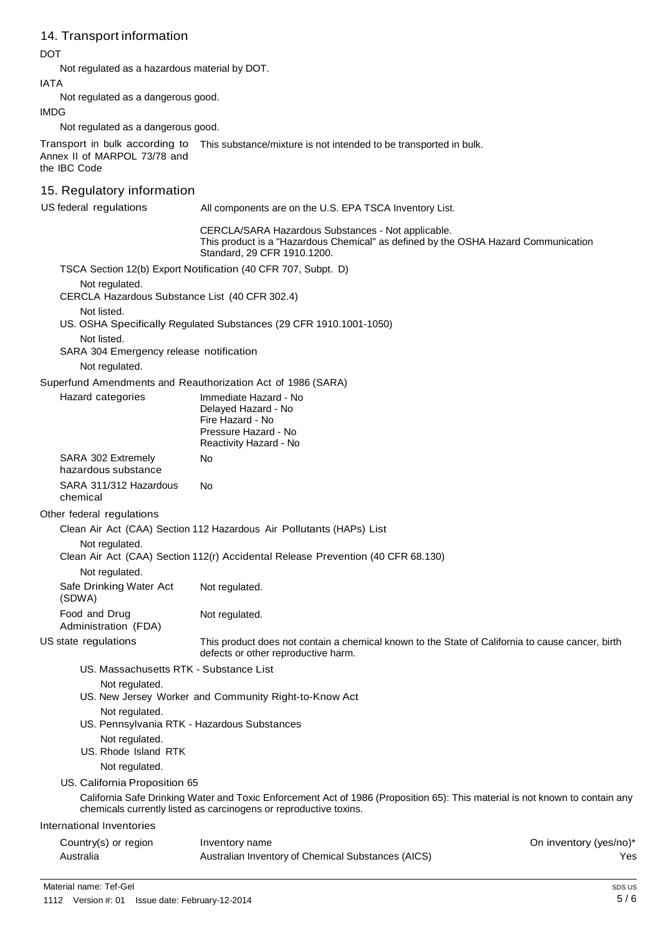# 14. Transport information

DOT

Not regulated as a hazardous material by DOT.

IATA

Not regulated as a dangerous good.

IMDG

Not regulated as a dangerous good.

Transport in bulk according to Annex II of MARPOL 73/78 and This substance/mixture is not intended to be transported in bulk.

the IBC Code

# 15. Regulatory information

US federal regulations All components are on the U.S. EPA TSCA Inventory List.

CERCLA/SARA Hazardous Substances - Not applicable. This product is a "Hazardous Chemical" as defined by the OSHA Hazard Communication Standard, 29 CFR 1910.1200.

TSCA Section 12(b) Export Notification (40 CFR 707, Subpt. D)

Not regulated.

CERCLA Hazardous Substance List (40 CFR 302.4)

Not listed.

US. OSHA Specifically Regulated Substances (29 CFR 1910.1001-1050)

Not listed.

SARA 304 Emergency release notification

Not regulated.

Superfund Amendments and Reauthorization Act of 1986 (SARA)

Hazard categories Immediate Hazard - No Delayed Hazard - No Fire Hazard - No Pressure Hazard - No Reactivity Hazard - No SARA 302 Extremely No

| _ _ _ _ _ _ _ _ _ _ _ _ _ _ _ _ _ _ |    |
|-------------------------------------|----|
| hazardous substance                 |    |
| SARA 311/312 Hazardous              | N٥ |
| chemical                            |    |

Other federal regulations

Clean Air Act (CAA) Section 112 Hazardous Air Pollutants (HAPs) List

## Not regulated.

Clean Air Act (CAA) Section 112(r) Accidental Release Prevention (40 CFR 68.130)

Not regulated.

Safe Drinking Water Act Not regulated.

(SDWA) Food and Drug Not regulated.

Administration (FDA)

US state regulations This product does not contain a chemical known to the State of California to cause cancer, birth defects or other reproductive harm.

US. Massachusetts RTK - Substance List

Not regulated.

US. New Jersey Worker and Community Right-to-Know Act

- Not regulated.
- US. Pennsylvania RTK Hazardous Substances
- Not regulated. US. Rhode Island RTK

Not regulated.

US. California Proposition 65

California Safe Drinking Water and Toxic Enforcement Act of 1986 (Proposition 65): This material is not known to contain any chemicals currently listed as carcinogens or reproductive toxins.

#### International Inventories

| Country(s) or region | Inventory name                                     | On inventory (yes/no)* |
|----------------------|----------------------------------------------------|------------------------|
| Australia            | Australian Inventory of Chemical Substances (AICS) | Yes                    |